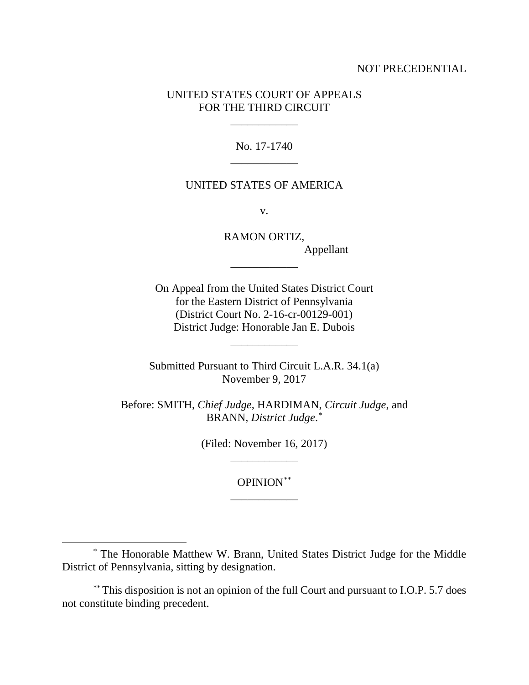### NOT PRECEDENTIAL

# UNITED STATES COURT OF APPEALS FOR THE THIRD CIRCUIT

\_\_\_\_\_\_\_\_\_\_\_\_

No. 17-1740 \_\_\_\_\_\_\_\_\_\_\_\_

### UNITED STATES OF AMERICA

v.

RAMON ORTIZ, Appellant \_\_\_\_\_\_\_\_\_\_\_\_

On Appeal from the United States District Court for the Eastern District of Pennsylvania (District Court No. 2-16-cr-00129-001) District Judge: Honorable Jan E. Dubois

Submitted Pursuant to Third Circuit L.A.R. 34.1(a) November 9, 2017

\_\_\_\_\_\_\_\_\_\_\_\_

Before: SMITH, *Chief Judge*, HARDIMAN, *Circuit Judge*, and BRANN, *District Judge*. [\\*](#page-0-0)

> (Filed: November 16, 2017) \_\_\_\_\_\_\_\_\_\_\_\_

> > OPINION[\\*](#page-0-1)\* \_\_\_\_\_\_\_\_\_\_\_\_

<span id="page-0-0"></span> <sup>\*</sup> The Honorable Matthew W. Brann, United States District Judge for the Middle District of Pennsylvania, sitting by designation.

<span id="page-0-1"></span><sup>\*\*</sup> This disposition is not an opinion of the full Court and pursuant to I.O.P. 5.7 does not constitute binding precedent.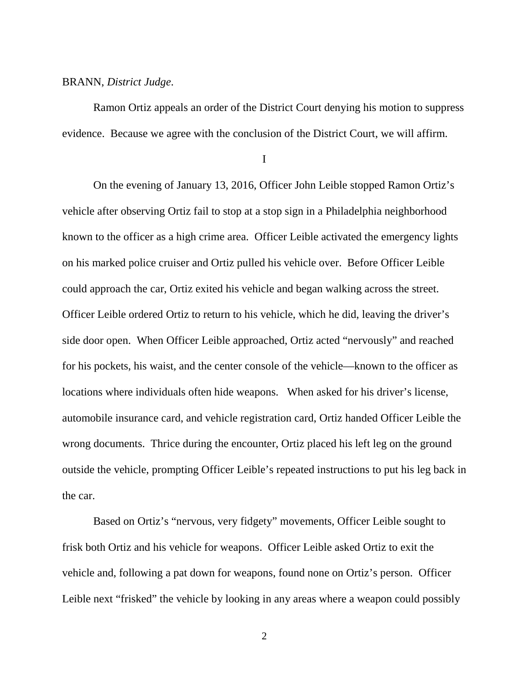### BRANN, *District Judge*.

Ramon Ortiz appeals an order of the District Court denying his motion to suppress evidence. Because we agree with the conclusion of the District Court, we will affirm.

I

On the evening of January 13, 2016, Officer John Leible stopped Ramon Ortiz's vehicle after observing Ortiz fail to stop at a stop sign in a Philadelphia neighborhood known to the officer as a high crime area. Officer Leible activated the emergency lights on his marked police cruiser and Ortiz pulled his vehicle over. Before Officer Leible could approach the car, Ortiz exited his vehicle and began walking across the street. Officer Leible ordered Ortiz to return to his vehicle, which he did, leaving the driver's side door open. When Officer Leible approached, Ortiz acted "nervously" and reached for his pockets, his waist, and the center console of the vehicle—known to the officer as locations where individuals often hide weapons. When asked for his driver's license, automobile insurance card, and vehicle registration card, Ortiz handed Officer Leible the wrong documents. Thrice during the encounter, Ortiz placed his left leg on the ground outside the vehicle, prompting Officer Leible's repeated instructions to put his leg back in the car.

Based on Ortiz's "nervous, very fidgety" movements, Officer Leible sought to frisk both Ortiz and his vehicle for weapons. Officer Leible asked Ortiz to exit the vehicle and, following a pat down for weapons, found none on Ortiz's person. Officer Leible next "frisked" the vehicle by looking in any areas where a weapon could possibly

2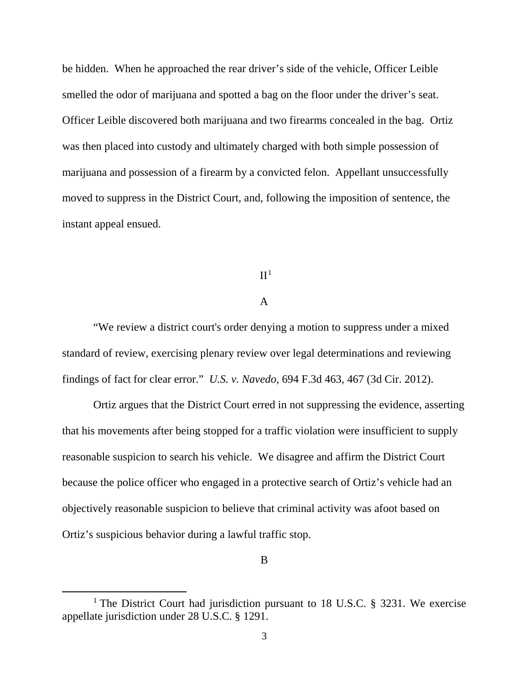be hidden. When he approached the rear driver's side of the vehicle, Officer Leible smelled the odor of marijuana and spotted a bag on the floor under the driver's seat. Officer Leible discovered both marijuana and two firearms concealed in the bag. Ortiz was then placed into custody and ultimately charged with both simple possession of marijuana and possession of a firearm by a convicted felon. Appellant unsuccessfully moved to suppress in the District Court, and, following the imposition of sentence, the instant appeal ensued.

### $II<sup>1</sup>$  $II<sup>1</sup>$  $II<sup>1</sup>$

# A

"We review a district court's order denying a motion to suppress under a mixed standard of review, exercising plenary review over legal determinations and reviewing findings of fact for clear error." *U.S. v. Navedo*, 694 F.3d 463, 467 (3d Cir. 2012).

Ortiz argues that the District Court erred in not suppressing the evidence, asserting that his movements after being stopped for a traffic violation were insufficient to supply reasonable suspicion to search his vehicle. We disagree and affirm the District Court because the police officer who engaged in a protective search of Ortiz's vehicle had an objectively reasonable suspicion to believe that criminal activity was afoot based on Ortiz's suspicious behavior during a lawful traffic stop.

<span id="page-2-0"></span><sup>&</sup>lt;sup>1</sup> The District Court had jurisdiction pursuant to 18 U.S.C. § 3231. We exercise appellate jurisdiction under 28 U.S.C. § 1291.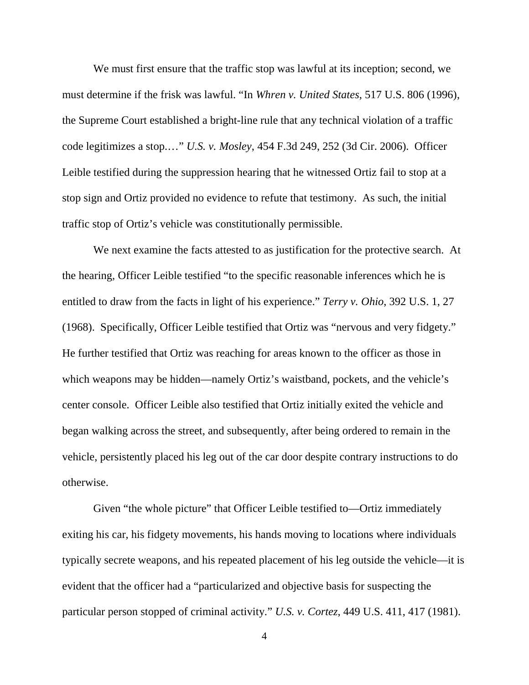We must first ensure that the traffic stop was lawful at its inception; second, we must determine if the frisk was lawful. "In *Whren v. United States*, 517 U.S. 806 (1996), the Supreme Court established a bright-line rule that any technical violation of a traffic code legitimizes a stop.…" *U.S. v. Mosley*, 454 F.3d 249, 252 (3d Cir. 2006). Officer Leible testified during the suppression hearing that he witnessed Ortiz fail to stop at a stop sign and Ortiz provided no evidence to refute that testimony. As such, the initial traffic stop of Ortiz's vehicle was constitutionally permissible.

We next examine the facts attested to as justification for the protective search. At the hearing, Officer Leible testified "to the specific reasonable inferences which he is entitled to draw from the facts in light of his experience." *Terry v. Ohio*, 392 U.S. 1, 27 (1968). Specifically, Officer Leible testified that Ortiz was "nervous and very fidgety." He further testified that Ortiz was reaching for areas known to the officer as those in which weapons may be hidden—namely Ortiz's waistband, pockets, and the vehicle's center console. Officer Leible also testified that Ortiz initially exited the vehicle and began walking across the street, and subsequently, after being ordered to remain in the vehicle, persistently placed his leg out of the car door despite contrary instructions to do otherwise.

Given "the whole picture" that Officer Leible testified to—Ortiz immediately exiting his car, his fidgety movements, his hands moving to locations where individuals typically secrete weapons, and his repeated placement of his leg outside the vehicle—it is evident that the officer had a "particularized and objective basis for suspecting the particular person stopped of criminal activity." *U.S. v. Cortez*, 449 U.S. 411, 417 (1981).

4